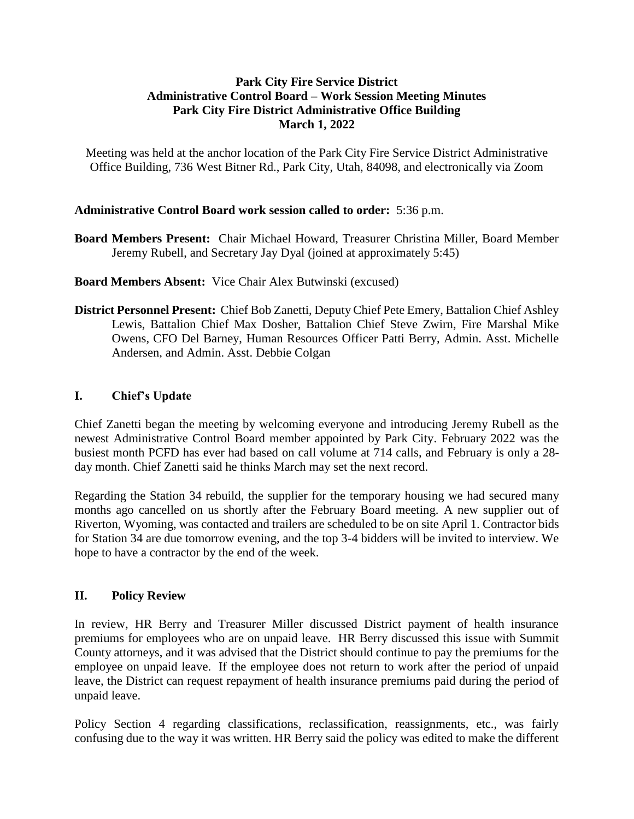### **Park City Fire Service District Administrative Control Board – Work Session Meeting Minutes Park City Fire District Administrative Office Building March 1, 2022**

Meeting was held at the anchor location of the Park City Fire Service District Administrative Office Building, 736 West Bitner Rd., Park City, Utah, 84098, and electronically via Zoom

### **Administrative Control Board work session called to order:** 5:36 p.m.

**Board Members Present:** Chair Michael Howard, Treasurer Christina Miller, Board Member Jeremy Rubell, and Secretary Jay Dyal (joined at approximately 5:45)

**Board Members Absent:** Vice Chair Alex Butwinski (excused)

**District Personnel Present:** Chief Bob Zanetti, Deputy Chief Pete Emery, Battalion Chief Ashley Lewis, Battalion Chief Max Dosher, Battalion Chief Steve Zwirn, Fire Marshal Mike Owens, CFO Del Barney, Human Resources Officer Patti Berry, Admin. Asst. Michelle Andersen, and Admin. Asst. Debbie Colgan

# **I. Chief's Update**

Chief Zanetti began the meeting by welcoming everyone and introducing Jeremy Rubell as the newest Administrative Control Board member appointed by Park City. February 2022 was the busiest month PCFD has ever had based on call volume at 714 calls, and February is only a 28 day month. Chief Zanetti said he thinks March may set the next record.

Regarding the Station 34 rebuild, the supplier for the temporary housing we had secured many months ago cancelled on us shortly after the February Board meeting. A new supplier out of Riverton, Wyoming, was contacted and trailers are scheduled to be on site April 1. Contractor bids for Station 34 are due tomorrow evening, and the top 3-4 bidders will be invited to interview. We hope to have a contractor by the end of the week.

# **II. Policy Review**

In review, HR Berry and Treasurer Miller discussed District payment of health insurance premiums for employees who are on unpaid leave. HR Berry discussed this issue with Summit County attorneys, and it was advised that the District should continue to pay the premiums for the employee on unpaid leave. If the employee does not return to work after the period of unpaid leave, the District can request repayment of health insurance premiums paid during the period of unpaid leave.

Policy Section 4 regarding classifications, reclassification, reassignments, etc., was fairly confusing due to the way it was written. HR Berry said the policy was edited to make the different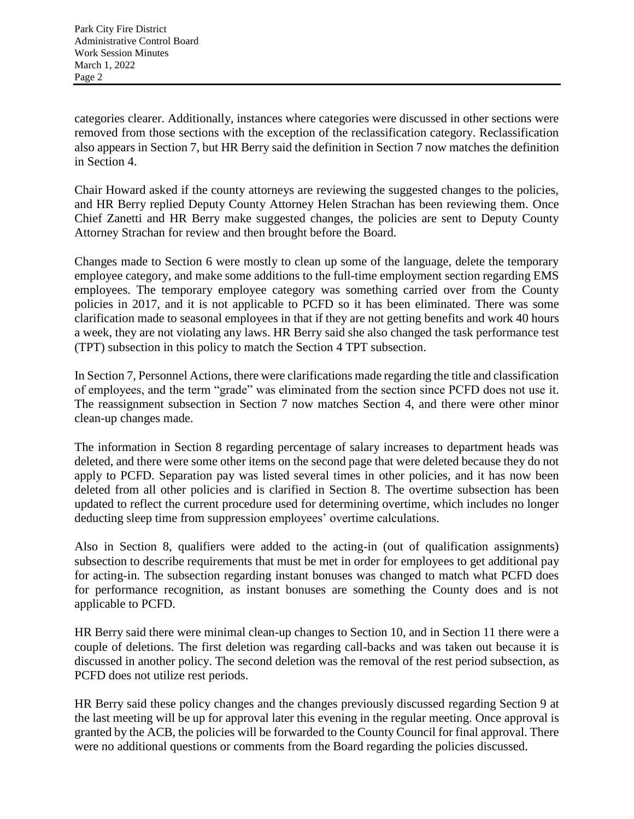categories clearer. Additionally, instances where categories were discussed in other sections were removed from those sections with the exception of the reclassification category. Reclassification also appears in Section 7, but HR Berry said the definition in Section 7 now matches the definition in Section 4.

Chair Howard asked if the county attorneys are reviewing the suggested changes to the policies, and HR Berry replied Deputy County Attorney Helen Strachan has been reviewing them. Once Chief Zanetti and HR Berry make suggested changes, the policies are sent to Deputy County Attorney Strachan for review and then brought before the Board.

Changes made to Section 6 were mostly to clean up some of the language, delete the temporary employee category, and make some additions to the full-time employment section regarding EMS employees. The temporary employee category was something carried over from the County policies in 2017, and it is not applicable to PCFD so it has been eliminated. There was some clarification made to seasonal employees in that if they are not getting benefits and work 40 hours a week, they are not violating any laws. HR Berry said she also changed the task performance test (TPT) subsection in this policy to match the Section 4 TPT subsection.

In Section 7, Personnel Actions, there were clarifications made regarding the title and classification of employees, and the term "grade" was eliminated from the section since PCFD does not use it. The reassignment subsection in Section 7 now matches Section 4, and there were other minor clean-up changes made.

The information in Section 8 regarding percentage of salary increases to department heads was deleted, and there were some other items on the second page that were deleted because they do not apply to PCFD. Separation pay was listed several times in other policies, and it has now been deleted from all other policies and is clarified in Section 8. The overtime subsection has been updated to reflect the current procedure used for determining overtime, which includes no longer deducting sleep time from suppression employees' overtime calculations.

Also in Section 8, qualifiers were added to the acting-in (out of qualification assignments) subsection to describe requirements that must be met in order for employees to get additional pay for acting-in. The subsection regarding instant bonuses was changed to match what PCFD does for performance recognition, as instant bonuses are something the County does and is not applicable to PCFD.

HR Berry said there were minimal clean-up changes to Section 10, and in Section 11 there were a couple of deletions. The first deletion was regarding call-backs and was taken out because it is discussed in another policy. The second deletion was the removal of the rest period subsection, as PCFD does not utilize rest periods.

HR Berry said these policy changes and the changes previously discussed regarding Section 9 at the last meeting will be up for approval later this evening in the regular meeting. Once approval is granted by the ACB, the policies will be forwarded to the County Council for final approval. There were no additional questions or comments from the Board regarding the policies discussed.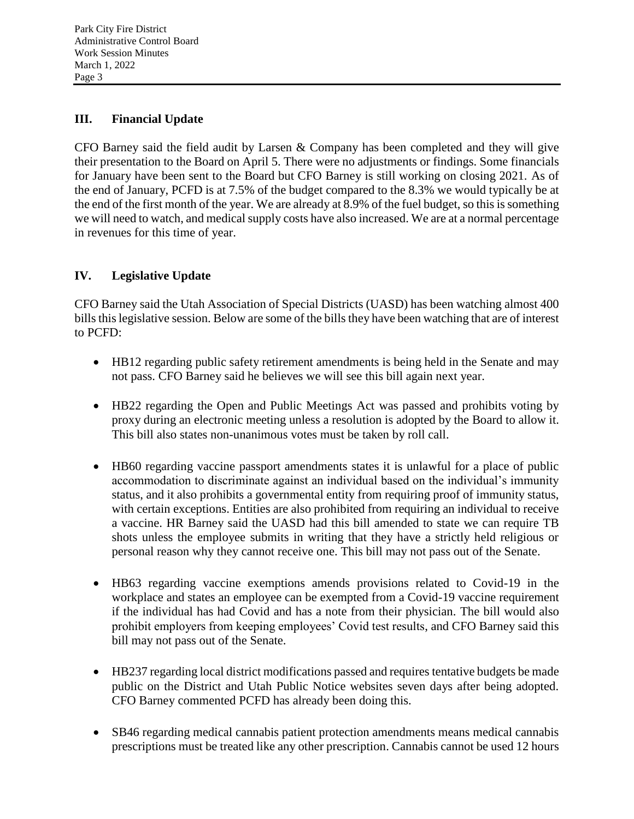# **III. Financial Update**

CFO Barney said the field audit by Larsen & Company has been completed and they will give their presentation to the Board on April 5. There were no adjustments or findings. Some financials for January have been sent to the Board but CFO Barney is still working on closing 2021. As of the end of January, PCFD is at 7.5% of the budget compared to the 8.3% we would typically be at the end of the first month of the year. We are already at 8.9% of the fuel budget, so this is something we will need to watch, and medical supply costs have also increased. We are at a normal percentage in revenues for this time of year.

# **IV. Legislative Update**

CFO Barney said the Utah Association of Special Districts (UASD) has been watching almost 400 bills this legislative session. Below are some of the bills they have been watching that are of interest to PCFD:

- HB12 regarding public safety retirement amendments is being held in the Senate and may not pass. CFO Barney said he believes we will see this bill again next year.
- HB22 regarding the Open and Public Meetings Act was passed and prohibits voting by proxy during an electronic meeting unless a resolution is adopted by the Board to allow it. This bill also states non-unanimous votes must be taken by roll call.
- HB60 regarding vaccine passport amendments states it is unlawful for a place of public accommodation to discriminate against an individual based on the individual's immunity status, and it also prohibits a governmental entity from requiring proof of immunity status, with certain exceptions. Entities are also prohibited from requiring an individual to receive a vaccine. HR Barney said the UASD had this bill amended to state we can require TB shots unless the employee submits in writing that they have a strictly held religious or personal reason why they cannot receive one. This bill may not pass out of the Senate.
- HB63 regarding vaccine exemptions amends provisions related to Covid-19 in the workplace and states an employee can be exempted from a Covid-19 vaccine requirement if the individual has had Covid and has a note from their physician. The bill would also prohibit employers from keeping employees' Covid test results, and CFO Barney said this bill may not pass out of the Senate.
- HB237 regarding local district modifications passed and requires tentative budgets be made public on the District and Utah Public Notice websites seven days after being adopted. CFO Barney commented PCFD has already been doing this.
- SB46 regarding medical cannabis patient protection amendments means medical cannabis prescriptions must be treated like any other prescription. Cannabis cannot be used 12 hours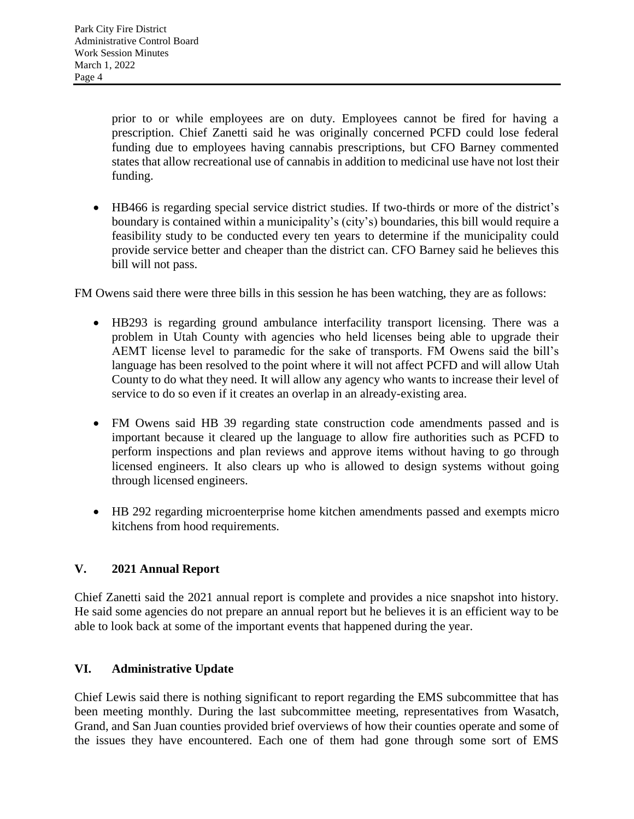prior to or while employees are on duty. Employees cannot be fired for having a prescription. Chief Zanetti said he was originally concerned PCFD could lose federal funding due to employees having cannabis prescriptions, but CFO Barney commented states that allow recreational use of cannabis in addition to medicinal use have not lost their funding.

 HB466 is regarding special service district studies. If two-thirds or more of the district's boundary is contained within a municipality's (city's) boundaries, this bill would require a feasibility study to be conducted every ten years to determine if the municipality could provide service better and cheaper than the district can. CFO Barney said he believes this bill will not pass.

FM Owens said there were three bills in this session he has been watching, they are as follows:

- HB293 is regarding ground ambulance interfacility transport licensing. There was a problem in Utah County with agencies who held licenses being able to upgrade their AEMT license level to paramedic for the sake of transports. FM Owens said the bill's language has been resolved to the point where it will not affect PCFD and will allow Utah County to do what they need. It will allow any agency who wants to increase their level of service to do so even if it creates an overlap in an already-existing area.
- FM Owens said HB 39 regarding state construction code amendments passed and is important because it cleared up the language to allow fire authorities such as PCFD to perform inspections and plan reviews and approve items without having to go through licensed engineers. It also clears up who is allowed to design systems without going through licensed engineers.
- HB 292 regarding microenterprise home kitchen amendments passed and exempts micro kitchens from hood requirements.

# **V. 2021 Annual Report**

Chief Zanetti said the 2021 annual report is complete and provides a nice snapshot into history. He said some agencies do not prepare an annual report but he believes it is an efficient way to be able to look back at some of the important events that happened during the year.

# **VI. Administrative Update**

Chief Lewis said there is nothing significant to report regarding the EMS subcommittee that has been meeting monthly. During the last subcommittee meeting, representatives from Wasatch, Grand, and San Juan counties provided brief overviews of how their counties operate and some of the issues they have encountered. Each one of them had gone through some sort of EMS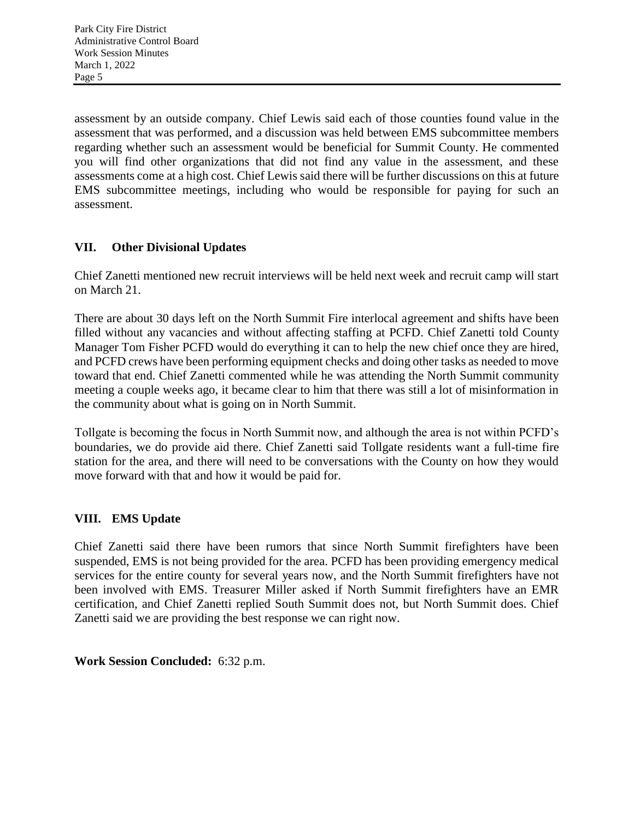assessment by an outside company. Chief Lewis said each of those counties found value in the assessment that was performed, and a discussion was held between EMS subcommittee members regarding whether such an assessment would be beneficial for Summit County. He commented you will find other organizations that did not find any value in the assessment, and these assessments come at a high cost. Chief Lewis said there will be further discussions on this at future EMS subcommittee meetings, including who would be responsible for paying for such an assessment.

# **VII. Other Divisional Updates**

Chief Zanetti mentioned new recruit interviews will be held next week and recruit camp will start on March 21.

There are about 30 days left on the North Summit Fire interlocal agreement and shifts have been filled without any vacancies and without affecting staffing at PCFD. Chief Zanetti told County Manager Tom Fisher PCFD would do everything it can to help the new chief once they are hired, and PCFD crews have been performing equipment checks and doing other tasks as needed to move toward that end. Chief Zanetti commented while he was attending the North Summit community meeting a couple weeks ago, it became clear to him that there was still a lot of misinformation in the community about what is going on in North Summit.

Tollgate is becoming the focus in North Summit now, and although the area is not within PCFD's boundaries, we do provide aid there. Chief Zanetti said Tollgate residents want a full-time fire station for the area, and there will need to be conversations with the County on how they would move forward with that and how it would be paid for.

# **VIII. EMS Update**

Chief Zanetti said there have been rumors that since North Summit firefighters have been suspended, EMS is not being provided for the area. PCFD has been providing emergency medical services for the entire county for several years now, and the North Summit firefighters have not been involved with EMS. Treasurer Miller asked if North Summit firefighters have an EMR certification, and Chief Zanetti replied South Summit does not, but North Summit does. Chief Zanetti said we are providing the best response we can right now.

# **Work Session Concluded:** 6:32 p.m.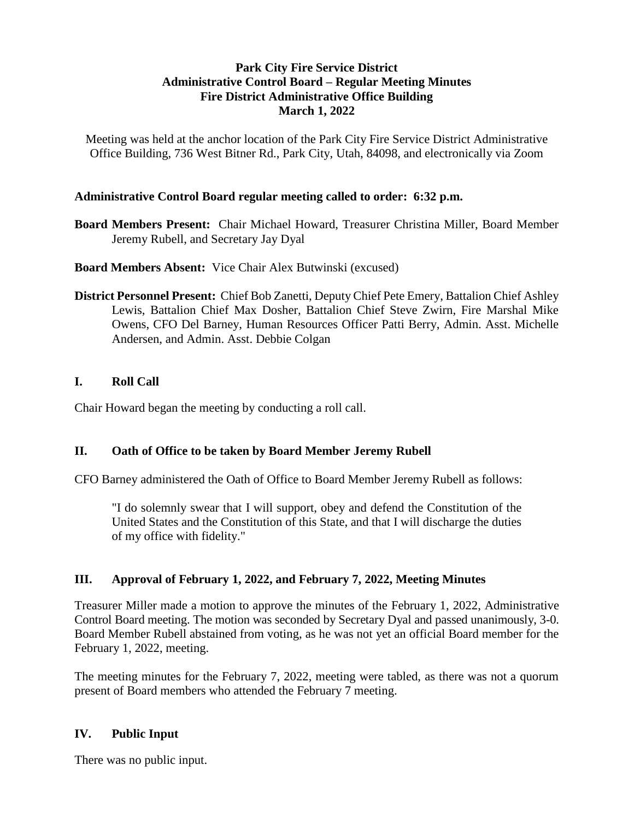### **Park City Fire Service District Administrative Control Board – Regular Meeting Minutes Fire District Administrative Office Building March 1, 2022**

Meeting was held at the anchor location of the Park City Fire Service District Administrative Office Building, 736 West Bitner Rd., Park City, Utah, 84098, and electronically via Zoom

### **Administrative Control Board regular meeting called to order: 6:32 p.m.**

**Board Members Present:** Chair Michael Howard, Treasurer Christina Miller, Board Member Jeremy Rubell, and Secretary Jay Dyal

**Board Members Absent:** Vice Chair Alex Butwinski (excused)

**District Personnel Present:** Chief Bob Zanetti, Deputy Chief Pete Emery, Battalion Chief Ashley Lewis, Battalion Chief Max Dosher, Battalion Chief Steve Zwirn, Fire Marshal Mike Owens, CFO Del Barney, Human Resources Officer Patti Berry, Admin. Asst. Michelle Andersen, and Admin. Asst. Debbie Colgan

### **I. Roll Call**

Chair Howard began the meeting by conducting a roll call.

### **II. Oath of Office to be taken by Board Member Jeremy Rubell**

CFO Barney administered the Oath of Office to Board Member Jeremy Rubell as follows:

"I do solemnly swear that I will support, obey and defend the Constitution of the United States and the Constitution of this State, and that I will discharge the duties of my office with fidelity."

### **III. Approval of February 1, 2022, and February 7, 2022, Meeting Minutes**

Treasurer Miller made a motion to approve the minutes of the February 1, 2022, Administrative Control Board meeting. The motion was seconded by Secretary Dyal and passed unanimously, 3-0. Board Member Rubell abstained from voting, as he was not yet an official Board member for the February 1, 2022, meeting.

The meeting minutes for the February 7, 2022, meeting were tabled, as there was not a quorum present of Board members who attended the February 7 meeting.

### **IV. Public Input**

There was no public input.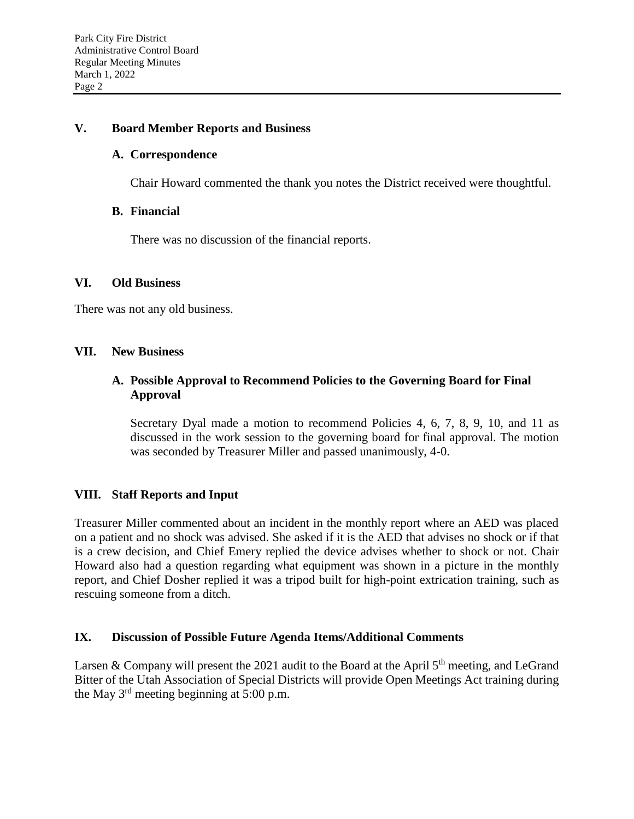#### **V. Board Member Reports and Business**

#### **A. Correspondence**

Chair Howard commented the thank you notes the District received were thoughtful.

#### **B. Financial**

There was no discussion of the financial reports.

#### **VI. Old Business**

There was not any old business.

#### **VII. New Business**

### **A. Possible Approval to Recommend Policies to the Governing Board for Final Approval**

Secretary Dyal made a motion to recommend Policies 4, 6, 7, 8, 9, 10, and 11 as discussed in the work session to the governing board for final approval. The motion was seconded by Treasurer Miller and passed unanimously, 4-0.

### **VIII. Staff Reports and Input**

Treasurer Miller commented about an incident in the monthly report where an AED was placed on a patient and no shock was advised. She asked if it is the AED that advises no shock or if that is a crew decision, and Chief Emery replied the device advises whether to shock or not. Chair Howard also had a question regarding what equipment was shown in a picture in the monthly report, and Chief Dosher replied it was a tripod built for high-point extrication training, such as rescuing someone from a ditch.

### **IX. Discussion of Possible Future Agenda Items/Additional Comments**

Larsen & Company will present the 2021 audit to the Board at the April  $5<sup>th</sup>$  meeting, and LeGrand Bitter of the Utah Association of Special Districts will provide Open Meetings Act training during the May  $3<sup>rd</sup>$  meeting beginning at  $5:00$  p.m.